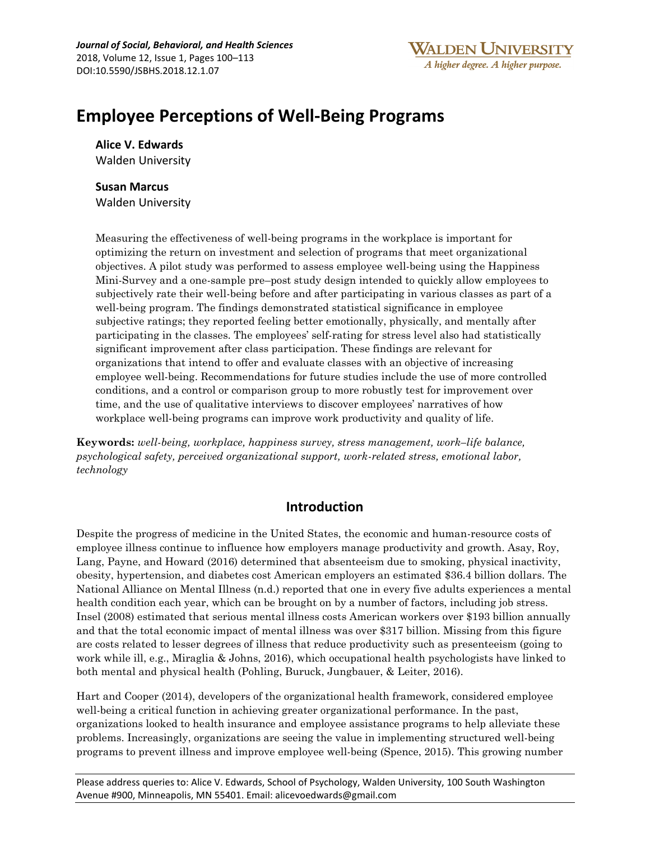# **Employee Perceptions of Well-Being Programs**

**Alice V. Edwards** Walden University

**Susan Marcus**

Walden University

Measuring the effectiveness of well-being programs in the workplace is important for optimizing the return on investment and selection of programs that meet organizational objectives. A pilot study was performed to assess employee well-being using the Happiness Mini-Survey and a one-sample pre–post study design intended to quickly allow employees to subjectively rate their well-being before and after participating in various classes as part of a well-being program. The findings demonstrated statistical significance in employee subjective ratings; they reported feeling better emotionally, physically, and mentally after participating in the classes. The employees' self-rating for stress level also had statistically significant improvement after class participation. These findings are relevant for organizations that intend to offer and evaluate classes with an objective of increasing employee well-being. Recommendations for future studies include the use of more controlled conditions, and a control or comparison group to more robustly test for improvement over time, and the use of qualitative interviews to discover employees' narratives of how workplace well-being programs can improve work productivity and quality of life.

**Keywords:** *well-being, workplace, happiness survey, stress management, work–life balance, psychological safety, perceived organizational support, work-related stress, emotional labor, technology*

# **Introduction**

Despite the progress of medicine in the United States, the economic and human-resource costs of employee illness continue to influence how employers manage productivity and growth. Asay, Roy, Lang, Payne, and Howard (2016) determined that absenteeism due to smoking, physical inactivity, obesity, hypertension, and diabetes cost American employers an estimated \$36.4 billion dollars. The National Alliance on Mental Illness (n.d.) reported that one in every five adults experiences a mental health condition each year, which can be brought on by a number of factors, including job stress. Insel (2008) estimated that serious mental illness costs American workers over \$193 billion annually and that the total economic impact of mental illness was over \$317 billion. Missing from this figure are costs related to lesser degrees of illness that reduce productivity such as presenteeism (going to work while ill, e.g., Miraglia & Johns, 2016), which occupational health psychologists have linked to both mental and physical health (Pohling, Buruck, Jungbauer, & Leiter, 2016).

Hart and Cooper (2014), developers of the organizational health framework, considered employee well-being a critical function in achieving greater organizational performance. In the past, organizations looked to health insurance and employee assistance programs to help alleviate these problems. Increasingly, organizations are seeing the value in implementing structured well-being programs to prevent illness and improve employee well-being (Spence, 2015). This growing number

Please address queries to: Alice V. Edwards, School of Psychology, Walden University, 100 South Washington Avenue #900, Minneapolis, MN 55401. Email: alicevoedwards@gmail.com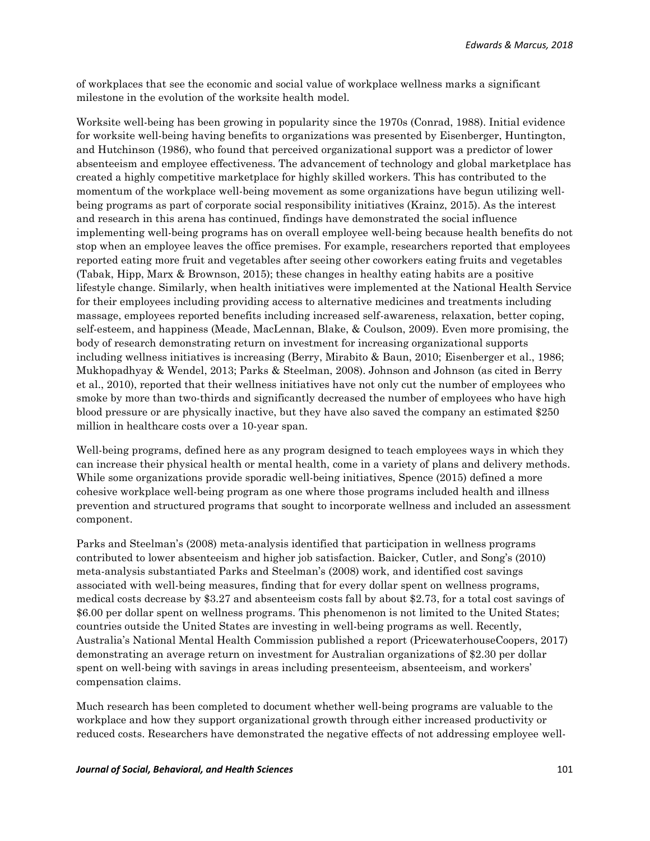of workplaces that see the economic and social value of workplace wellness marks a significant milestone in the evolution of the worksite health model.

Worksite well-being has been growing in popularity since the 1970s (Conrad, 1988). Initial evidence for worksite well-being having benefits to organizations was presented by Eisenberger, Huntington, and Hutchinson (1986), who found that perceived organizational support was a predictor of lower absenteeism and employee effectiveness. The advancement of technology and global marketplace has created a highly competitive marketplace for highly skilled workers. This has contributed to the momentum of the workplace well-being movement as some organizations have begun utilizing wellbeing programs as part of corporate social responsibility initiatives (Krainz, 2015). As the interest and research in this arena has continued, findings have demonstrated the social influence implementing well-being programs has on overall employee well-being because health benefits do not stop when an employee leaves the office premises. For example, researchers reported that employees reported eating more fruit and vegetables after seeing other coworkers eating fruits and vegetables (Tabak, Hipp, Marx & Brownson, 2015); these changes in healthy eating habits are a positive lifestyle change. Similarly, when health initiatives were implemented at the National Health Service for their employees including providing access to alternative medicines and treatments including massage, employees reported benefits including increased self-awareness, relaxation, better coping, self-esteem, and happiness (Meade, MacLennan, Blake, & Coulson, 2009). Even more promising, the body of research demonstrating return on investment for increasing organizational supports including wellness initiatives is increasing (Berry, Mirabito & Baun, 2010; Eisenberger et al., 1986; Mukhopadhyay & Wendel, 2013; Parks & Steelman, 2008). Johnson and Johnson (as cited in Berry et al., 2010), reported that their wellness initiatives have not only cut the number of employees who smoke by more than two-thirds and significantly decreased the number of employees who have high blood pressure or are physically inactive, but they have also saved the company an estimated \$250 million in healthcare costs over a 10-year span.

Well-being programs, defined here as any program designed to teach employees ways in which they can increase their physical health or mental health, come in a variety of plans and delivery methods. While some organizations provide sporadic well-being initiatives, Spence (2015) defined a more cohesive workplace well-being program as one where those programs included health and illness prevention and structured programs that sought to incorporate wellness and included an assessment component.

Parks and Steelman's (2008) meta-analysis identified that participation in wellness programs contributed to lower absenteeism and higher job satisfaction. Baicker, Cutler, and Song's (2010) meta-analysis substantiated Parks and Steelman's (2008) work, and identified cost savings associated with well-being measures, finding that for every dollar spent on wellness programs, medical costs decrease by \$3.27 and absenteeism costs fall by about \$2.73, for a total cost savings of \$6.00 per dollar spent on wellness programs. This phenomenon is not limited to the United States; countries outside the United States are investing in well-being programs as well. Recently, Australia's National Mental Health Commission published a report (PricewaterhouseCoopers, 2017) demonstrating an average return on investment for Australian organizations of \$2.30 per dollar spent on well-being with savings in areas including presenteeism, absenteeism, and workers' compensation claims.

Much research has been completed to document whether well-being programs are valuable to the workplace and how they support organizational growth through either increased productivity or reduced costs. Researchers have demonstrated the negative effects of not addressing employee well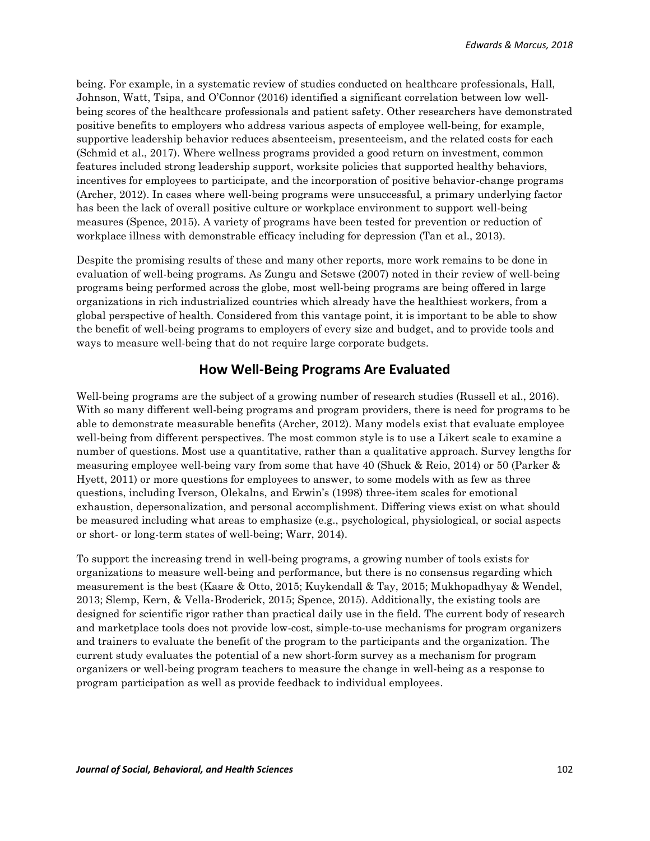being. For example, in a systematic review of studies conducted on healthcare professionals, Hall, Johnson, Watt, Tsipa, and O'Connor (2016) identified a significant correlation between low wellbeing scores of the healthcare professionals and patient safety. Other researchers have demonstrated positive benefits to employers who address various aspects of employee well-being, for example, supportive leadership behavior reduces absenteeism, presenteeism, and the related costs for each (Schmid et al., 2017). Where wellness programs provided a good return on investment, common features included strong leadership support, worksite policies that supported healthy behaviors, incentives for employees to participate, and the incorporation of positive behavior-change programs (Archer, 2012). In cases where well-being programs were unsuccessful, a primary underlying factor has been the lack of overall positive culture or workplace environment to support well-being measures (Spence, 2015). A variety of programs have been tested for prevention or reduction of workplace illness with demonstrable efficacy including for depression (Tan et al., 2013).

Despite the promising results of these and many other reports, more work remains to be done in evaluation of well-being programs. As Zungu and Setswe (2007) noted in their review of well-being programs being performed across the globe, most well-being programs are being offered in large organizations in rich industrialized countries which already have the healthiest workers, from a global perspective of health. Considered from this vantage point, it is important to be able to show the benefit of well-being programs to employers of every size and budget, and to provide tools and ways to measure well-being that do not require large corporate budgets.

## **How Well-Being Programs Are Evaluated**

Well-being programs are the subject of a growing number of research studies (Russell et al., 2016). With so many different well-being programs and program providers, there is need for programs to be able to demonstrate measurable benefits (Archer, 2012). Many models exist that evaluate employee well-being from different perspectives. The most common style is to use a Likert scale to examine a number of questions. Most use a quantitative, rather than a qualitative approach. Survey lengths for measuring employee well-being vary from some that have 40 (Shuck & Reio, 2014) or 50 (Parker & Hyett, 2011) or more questions for employees to answer, to some models with as few as three questions, including Iverson, Olekalns, and Erwin's (1998) three-item scales for emotional exhaustion, depersonalization, and personal accomplishment. Differing views exist on what should be measured including what areas to emphasize (e.g., psychological, physiological, or social aspects or short- or long-term states of well-being; Warr, 2014).

To support the increasing trend in well-being programs, a growing number of tools exists for organizations to measure well-being and performance, but there is no consensus regarding which measurement is the best (Kaare & Otto, 2015; Kuykendall & Tay, 2015; Mukhopadhyay & Wendel, 2013; Slemp, Kern, & Vella-Broderick, 2015; Spence, 2015). Additionally, the existing tools are designed for scientific rigor rather than practical daily use in the field. The current body of research and marketplace tools does not provide low-cost, simple-to-use mechanisms for program organizers and trainers to evaluate the benefit of the program to the participants and the organization. The current study evaluates the potential of a new short-form survey as a mechanism for program organizers or well-being program teachers to measure the change in well-being as a response to program participation as well as provide feedback to individual employees.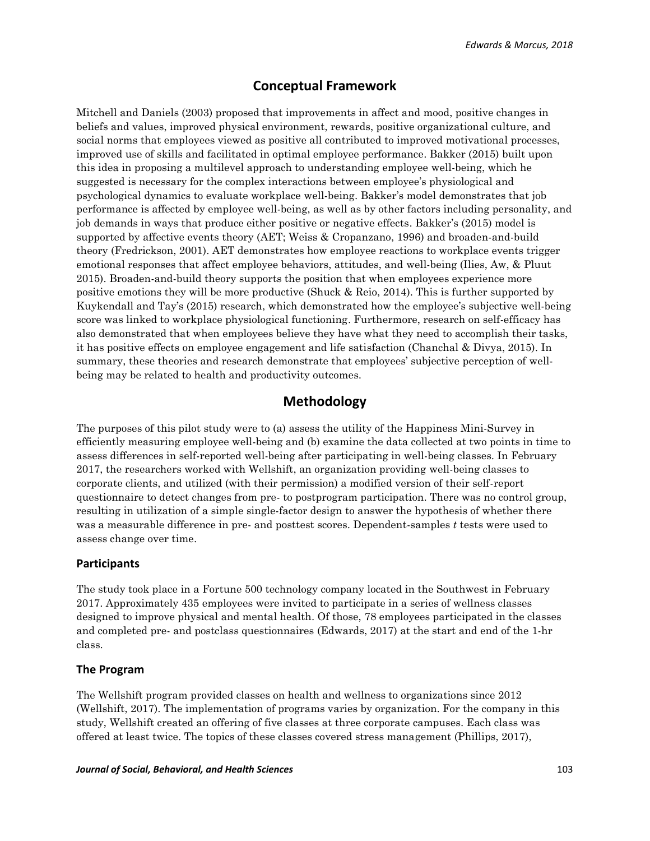# **Conceptual Framework**

Mitchell and Daniels (2003) proposed that improvements in affect and mood, positive changes in beliefs and values, improved physical environment, rewards, positive organizational culture, and social norms that employees viewed as positive all contributed to improved motivational processes, improved use of skills and facilitated in optimal employee performance. Bakker (2015) built upon this idea in proposing a multilevel approach to understanding employee well-being, which he suggested is necessary for the complex interactions between employee's physiological and psychological dynamics to evaluate workplace well-being. Bakker's model demonstrates that job performance is affected by employee well-being, as well as by other factors including personality, and job demands in ways that produce either positive or negative effects. Bakker's (2015) model is supported by affective events theory (AET; Weiss & Cropanzano, 1996) and broaden-and-build theory (Fredrickson, 2001). AET demonstrates how employee reactions to workplace events trigger emotional responses that affect employee behaviors, attitudes, and well-being (Ilies, Aw, & Pluut 2015). Broaden-and-build theory supports the position that when employees experience more positive emotions they will be more productive (Shuck & Reio, 2014). This is further supported by Kuykendall and Tay's (2015) research, which demonstrated how the employee's subjective well-being score was linked to workplace physiological functioning. Furthermore, research on self-efficacy has also demonstrated that when employees believe they have what they need to accomplish their tasks, it has positive effects on employee engagement and life satisfaction (Chanchal & Divya, 2015). In summary, these theories and research demonstrate that employees' subjective perception of wellbeing may be related to health and productivity outcomes.

## **Methodology**

The purposes of this pilot study were to (a) assess the utility of the Happiness Mini-Survey in efficiently measuring employee well-being and (b) examine the data collected at two points in time to assess differences in self-reported well-being after participating in well-being classes. In February 2017, the researchers worked with Wellshift, an organization providing well-being classes to corporate clients, and utilized (with their permission) a modified version of their self-report questionnaire to detect changes from pre- to postprogram participation. There was no control group, resulting in utilization of a simple single-factor design to answer the hypothesis of whether there was a measurable difference in pre- and posttest scores. Dependent-samples *t* tests were used to assess change over time.

## **Participants**

The study took place in a Fortune 500 technology company located in the Southwest in February 2017. Approximately 435 employees were invited to participate in a series of wellness classes designed to improve physical and mental health. Of those, 78 employees participated in the classes and completed pre- and postclass questionnaires (Edwards, 2017) at the start and end of the 1-hr class.

#### **The Program**

The Wellshift program provided classes on health and wellness to organizations since 2012 (Wellshift, 2017). The implementation of programs varies by organization. For the company in this study, Wellshift created an offering of five classes at three corporate campuses. Each class was offered at least twice. The topics of these classes covered stress management (Phillips, 2017),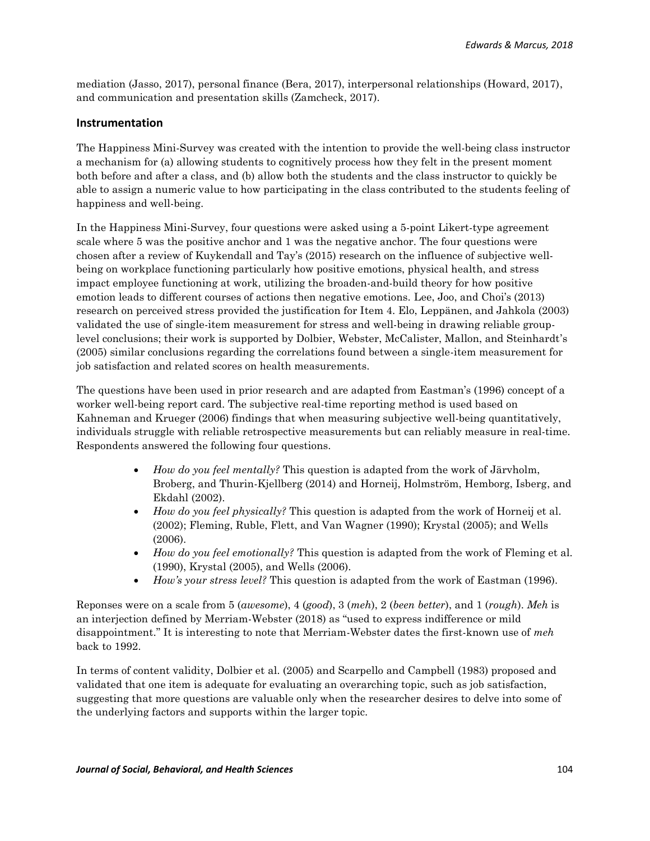mediation (Jasso, 2017), personal finance (Bera, 2017), interpersonal relationships (Howard, 2017), and communication and presentation skills (Zamcheck, 2017).

## **Instrumentation**

The Happiness Mini-Survey was created with the intention to provide the well-being class instructor a mechanism for (a) allowing students to cognitively process how they felt in the present moment both before and after a class, and (b) allow both the students and the class instructor to quickly be able to assign a numeric value to how participating in the class contributed to the students feeling of happiness and well-being.

In the Happiness Mini-Survey, four questions were asked using a 5-point Likert-type agreement scale where 5 was the positive anchor and 1 was the negative anchor. The four questions were chosen after a review of Kuykendall and Tay's (2015) research on the influence of subjective wellbeing on workplace functioning particularly how positive emotions, physical health, and stress impact employee functioning at work, utilizing the broaden-and-build theory for how positive emotion leads to different courses of actions then negative emotions. Lee, Joo, and Choi's (2013) research on perceived stress provided the justification for Item 4. Elo, Leppänen, and Jahkola (2003) validated the use of single-item measurement for stress and well-being in drawing reliable grouplevel conclusions; their work is supported by Dolbier, Webster, McCalister, Mallon, and Steinhardt's (2005) similar conclusions regarding the correlations found between a single-item measurement for job satisfaction and related scores on health measurements.

The questions have been used in prior research and are adapted from Eastman's (1996) concept of a worker well-being report card. The subjective real-time reporting method is used based on Kahneman and Krueger (2006) findings that when measuring subjective well-being quantitatively, individuals struggle with reliable retrospective measurements but can reliably measure in real-time. Respondents answered the following four questions.

- *How do you feel mentally?* This question is adapted from the work of Järvholm, Broberg, and Thurin-Kjellberg (2014) and Horneij, Holmström, Hemborg, Isberg, and Ekdahl (2002).
- *How do you feel physically?* This question is adapted from the work of Horneij et al. (2002); Fleming, Ruble, Flett, and Van Wagner (1990); Krystal (2005); and Wells (2006).
- *How do you feel emotionally?* This question is adapted from the work of Fleming et al. (1990), Krystal (2005), and Wells (2006).
- *How's your stress level?* This question is adapted from the work of Eastman (1996).

Reponses were on a scale from 5 (*awesome*), 4 (*good*), 3 (*meh*), 2 (*been better*), and 1 (*rough*). *Meh* is an interjection defined by Merriam-Webster (2018) as "used to express indifference or mild disappointment." It is interesting to note that Merriam-Webster dates the first-known use of *meh*  back to 1992.

In terms of content validity, Dolbier et al. (2005) and Scarpello and Campbell (1983) proposed and validated that one item is adequate for evaluating an overarching topic, such as job satisfaction, suggesting that more questions are valuable only when the researcher desires to delve into some of the underlying factors and supports within the larger topic.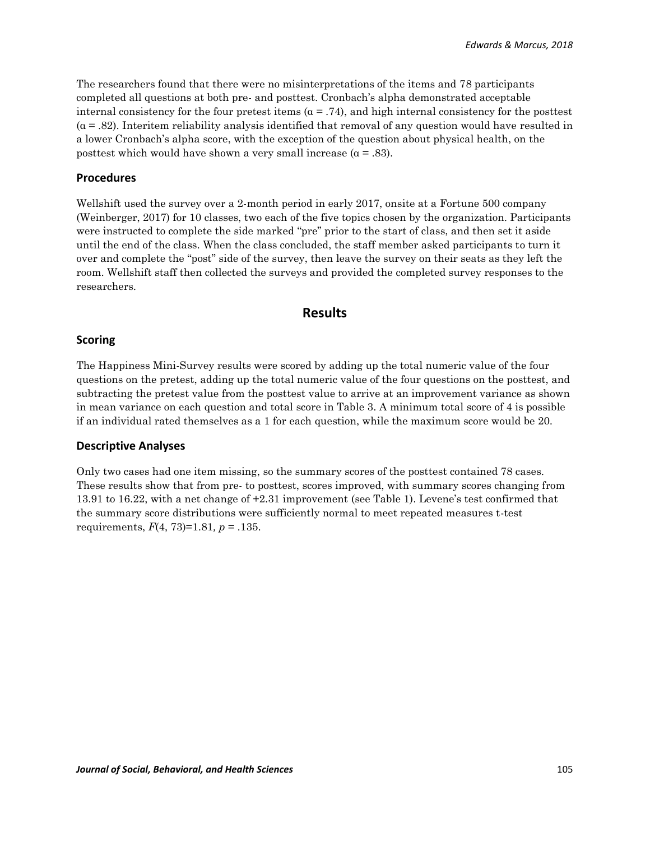The researchers found that there were no misinterpretations of the items and 78 participants completed all questions at both pre- and posttest. Cronbach's alpha demonstrated acceptable internal consistency for the four pretest items ( $\alpha$  = .74), and high internal consistency for the posttest  $(a = .82)$ . Interitem reliability analysis identified that removal of any question would have resulted in a lower Cronbach's alpha score, with the exception of the question about physical health, on the posttest which would have shown a very small increase  $(a = .83)$ .

### **Procedures**

Wellshift used the survey over a 2-month period in early 2017, onsite at a Fortune 500 company (Weinberger, 2017) for 10 classes, two each of the five topics chosen by the organization. Participants were instructed to complete the side marked "pre" prior to the start of class, and then set it aside until the end of the class. When the class concluded, the staff member asked participants to turn it over and complete the "post" side of the survey, then leave the survey on their seats as they left the room. Wellshift staff then collected the surveys and provided the completed survey responses to the researchers.

## **Results**

### **Scoring**

The Happiness Mini-Survey results were scored by adding up the total numeric value of the four questions on the pretest, adding up the total numeric value of the four questions on the posttest, and subtracting the pretest value from the posttest value to arrive at an improvement variance as shown in mean variance on each question and total score in Table 3. A minimum total score of 4 is possible if an individual rated themselves as a 1 for each question, while the maximum score would be 20.

### **Descriptive Analyses**

Only two cases had one item missing, so the summary scores of the posttest contained 78 cases. These results show that from pre- to posttest, scores improved, with summary scores changing from 13.91 to 16.22, with a net change of +2.31 improvement (see Table 1). Levene's test confirmed that the summary score distributions were sufficiently normal to meet repeated measures t-test requirements, *F*(4, 73)=1.81*, p* = .135.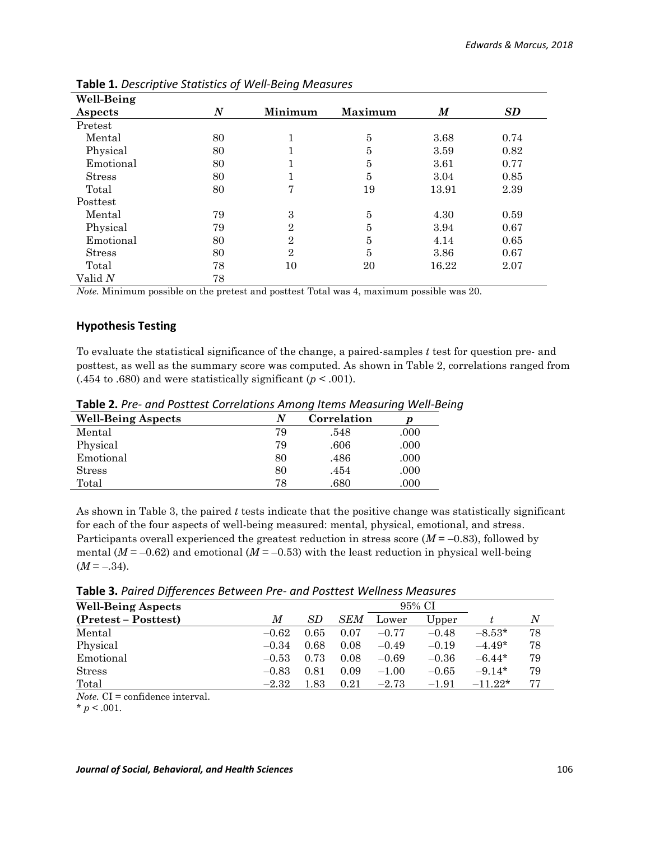| Well-Being    |                  |                |                |       |           |
|---------------|------------------|----------------|----------------|-------|-----------|
| Aspects       | $\boldsymbol{N}$ | Minimum        | Maximum        | M     | <b>SD</b> |
| Pretest       |                  |                |                |       |           |
| Mental        | 80               | 1              | 5              | 3.68  | 0.74      |
| Physical      | 80               | 1              | 5              | 3.59  | 0.82      |
| Emotional     | 80               | 1              | $\overline{5}$ | 3.61  | 0.77      |
| <b>Stress</b> | 80               | 1              | 5              | 3.04  | 0.85      |
| Total         | 80               | 7              | 19             | 13.91 | 2.39      |
| Posttest      |                  |                |                |       |           |
| Mental        | 79               | 3              | 5              | 4.30  | 0.59      |
| Physical      | 79               | $\overline{2}$ | 5              | 3.94  | 0.67      |
| Emotional     | 80               | $\overline{2}$ | 5              | 4.14  | 0.65      |
| <b>Stress</b> | 80               | $\overline{2}$ | 5              | 3.86  | 0.67      |
| Total         | 78               | 10             | 20             | 16.22 | 2.07      |
| Valid N       | 78               |                |                |       |           |

**Table 1.** *Descriptive Statistics of Well-Being Measures*

*Note.* Minimum possible on the pretest and posttest Total was 4, maximum possible was 20.

## **Hypothesis Testing**

To evaluate the statistical significance of the change, a paired-samples *t* test for question pre- and posttest, as well as the summary score was computed. As shown in Table 2, correlations ranged from  $(.454 \text{ to } .680)$  and were statistically significant ( $p < .001$ ).

| <b>Well-Being Aspects</b> | N  | Correlation |      |
|---------------------------|----|-------------|------|
| Mental                    | 79 | .548        | .000 |
| Physical                  | 79 | .606        | .000 |
| Emotional                 | 80 | .486        | .000 |
| <b>Stress</b>             | 80 | .454        | .000 |
| Total                     | 78 | .680        | .000 |

**Table 2.** *Pre- and Posttest Correlations Among Items Measuring Well-Being*

As shown in Table 3, the paired *t* tests indicate that the positive change was statistically significant for each of the four aspects of well-being measured: mental, physical, emotional, and stress. Participants overall experienced the greatest reduction in stress score  $(M = -0.83)$ , followed by mental  $(M = -0.62)$  and emotional  $(M = -0.53)$  with the least reduction in physical well-being  $(M = -.34)$ .

**Table 3.** *Paired Differences Between Pre- and Posttest Wellness Measures*

| <b>Well-Being Aspects</b> | 95% CI  |           |            |         |         |           |    |
|---------------------------|---------|-----------|------------|---------|---------|-----------|----|
| (Pretest – Posttest)      | M       | <i>SD</i> | <b>SEM</b> | Lower   | Upper   |           | Ν  |
| Mental                    | $-0.62$ | 0.65      | 0.07       | $-0.77$ | $-0.48$ | $-8.53*$  | 78 |
| Physical                  | $-0.34$ | 0.68      | 0.08       | $-0.49$ | $-0.19$ | $-4.49*$  | 78 |
| Emotional                 | $-0.53$ | 0.73      | 0.08       | $-0.69$ | $-0.36$ | $-6.44*$  | 79 |
| <b>Stress</b>             | $-0.83$ | 0.81      | 0.09       | $-1.00$ | $-0.65$ | $-9.14*$  | 79 |
| Total                     | $-2.32$ | $1.83\,$  | 0.21       | $-2.73$ | $-1.91$ | $-11.22*$ | 77 |
| $\sim$ $\sim$<br>$  -$    |         |           |            |         |         |           |    |

*Note.* CI = confidence interval.

 $* p < .001.$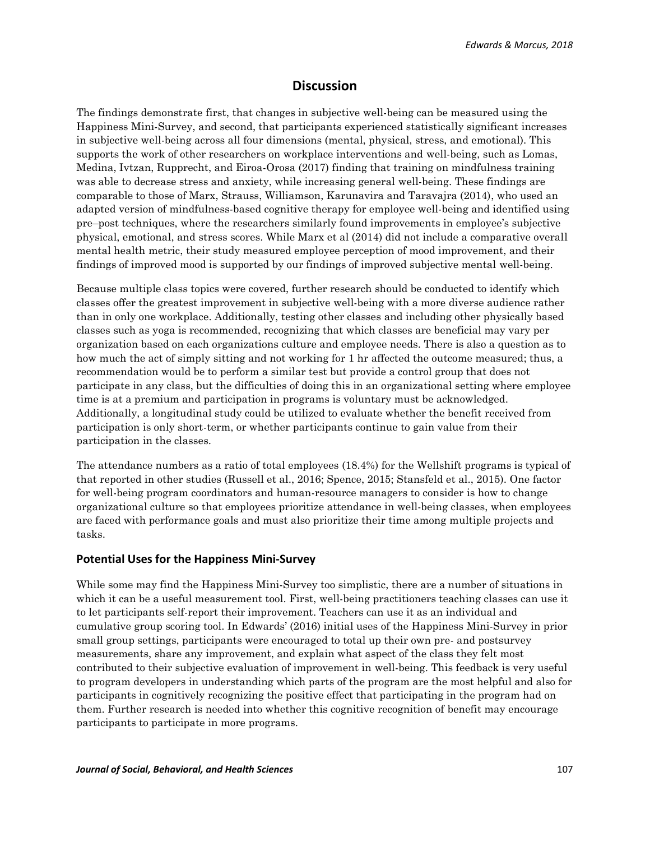## **Discussion**

The findings demonstrate first, that changes in subjective well-being can be measured using the Happiness Mini-Survey, and second, that participants experienced statistically significant increases in subjective well-being across all four dimensions (mental, physical, stress, and emotional). This supports the work of other researchers on workplace interventions and well-being, such as Lomas, Medina, Ivtzan, Rupprecht, and Eiroa-Orosa (2017) finding that training on mindfulness training was able to decrease stress and anxiety, while increasing general well-being. These findings are comparable to those of Marx, Strauss, Williamson, Karunavira and Taravajra (2014), who used an adapted version of mindfulness-based cognitive therapy for employee well-being and identified using pre–post techniques, where the researchers similarly found improvements in employee's subjective physical, emotional, and stress scores. While Marx et al (2014) did not include a comparative overall mental health metric, their study measured employee perception of mood improvement, and their findings of improved mood is supported by our findings of improved subjective mental well-being.

Because multiple class topics were covered, further research should be conducted to identify which classes offer the greatest improvement in subjective well-being with a more diverse audience rather than in only one workplace. Additionally, testing other classes and including other physically based classes such as yoga is recommended, recognizing that which classes are beneficial may vary per organization based on each organizations culture and employee needs. There is also a question as to how much the act of simply sitting and not working for 1 hr affected the outcome measured; thus, a recommendation would be to perform a similar test but provide a control group that does not participate in any class, but the difficulties of doing this in an organizational setting where employee time is at a premium and participation in programs is voluntary must be acknowledged. Additionally, a longitudinal study could be utilized to evaluate whether the benefit received from participation is only short-term, or whether participants continue to gain value from their participation in the classes.

The attendance numbers as a ratio of total employees (18.4%) for the Wellshift programs is typical of that reported in other studies (Russell et al., 2016; Spence, 2015; Stansfeld et al., 2015). One factor for well-being program coordinators and human-resource managers to consider is how to change organizational culture so that employees prioritize attendance in well-being classes, when employees are faced with performance goals and must also prioritize their time among multiple projects and tasks.

#### **Potential Uses for the Happiness Mini-Survey**

While some may find the Happiness Mini-Survey too simplistic, there are a number of situations in which it can be a useful measurement tool. First, well-being practitioners teaching classes can use it to let participants self-report their improvement. Teachers can use it as an individual and cumulative group scoring tool. In Edwards' (2016) initial uses of the Happiness Mini-Survey in prior small group settings, participants were encouraged to total up their own pre- and postsurvey measurements, share any improvement, and explain what aspect of the class they felt most contributed to their subjective evaluation of improvement in well-being. This feedback is very useful to program developers in understanding which parts of the program are the most helpful and also for participants in cognitively recognizing the positive effect that participating in the program had on them. Further research is needed into whether this cognitive recognition of benefit may encourage participants to participate in more programs.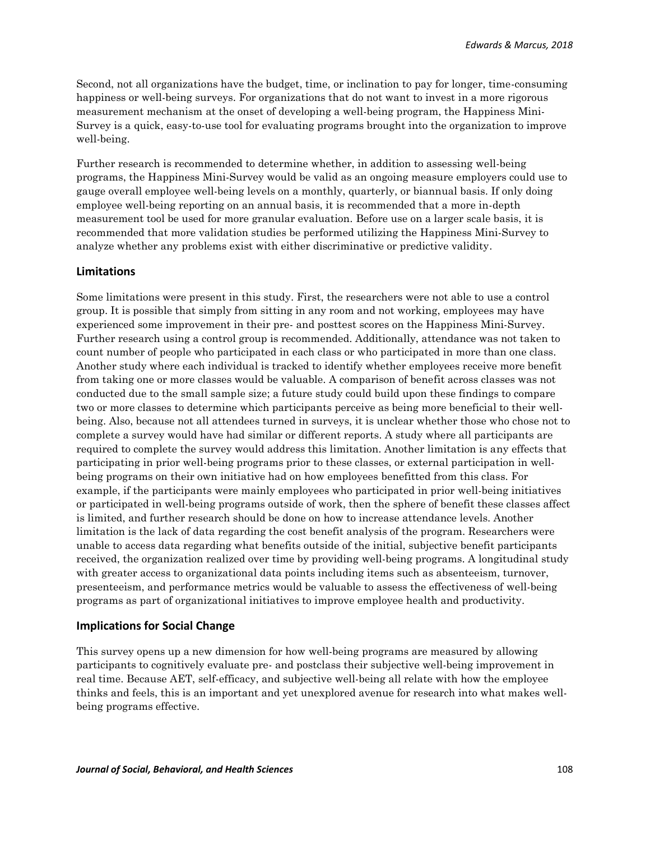Second, not all organizations have the budget, time, or inclination to pay for longer, time-consuming happiness or well-being surveys. For organizations that do not want to invest in a more rigorous measurement mechanism at the onset of developing a well-being program, the Happiness Mini-Survey is a quick, easy-to-use tool for evaluating programs brought into the organization to improve well-being.

Further research is recommended to determine whether, in addition to assessing well-being programs, the Happiness Mini-Survey would be valid as an ongoing measure employers could use to gauge overall employee well-being levels on a monthly, quarterly, or biannual basis. If only doing employee well-being reporting on an annual basis, it is recommended that a more in-depth measurement tool be used for more granular evaluation. Before use on a larger scale basis, it is recommended that more validation studies be performed utilizing the Happiness Mini-Survey to analyze whether any problems exist with either discriminative or predictive validity.

#### **Limitations**

Some limitations were present in this study. First, the researchers were not able to use a control group. It is possible that simply from sitting in any room and not working, employees may have experienced some improvement in their pre- and posttest scores on the Happiness Mini-Survey. Further research using a control group is recommended. Additionally, attendance was not taken to count number of people who participated in each class or who participated in more than one class. Another study where each individual is tracked to identify whether employees receive more benefit from taking one or more classes would be valuable. A comparison of benefit across classes was not conducted due to the small sample size; a future study could build upon these findings to compare two or more classes to determine which participants perceive as being more beneficial to their wellbeing. Also, because not all attendees turned in surveys, it is unclear whether those who chose not to complete a survey would have had similar or different reports. A study where all participants are required to complete the survey would address this limitation. Another limitation is any effects that participating in prior well-being programs prior to these classes, or external participation in wellbeing programs on their own initiative had on how employees benefitted from this class. For example, if the participants were mainly employees who participated in prior well-being initiatives or participated in well-being programs outside of work, then the sphere of benefit these classes affect is limited, and further research should be done on how to increase attendance levels. Another limitation is the lack of data regarding the cost benefit analysis of the program. Researchers were unable to access data regarding what benefits outside of the initial, subjective benefit participants received, the organization realized over time by providing well-being programs. A longitudinal study with greater access to organizational data points including items such as absenteeism, turnover, presenteeism, and performance metrics would be valuable to assess the effectiveness of well-being programs as part of organizational initiatives to improve employee health and productivity.

#### **Implications for Social Change**

This survey opens up a new dimension for how well-being programs are measured by allowing participants to cognitively evaluate pre- and postclass their subjective well-being improvement in real time. Because AET, self-efficacy, and subjective well-being all relate with how the employee thinks and feels, this is an important and yet unexplored avenue for research into what makes wellbeing programs effective.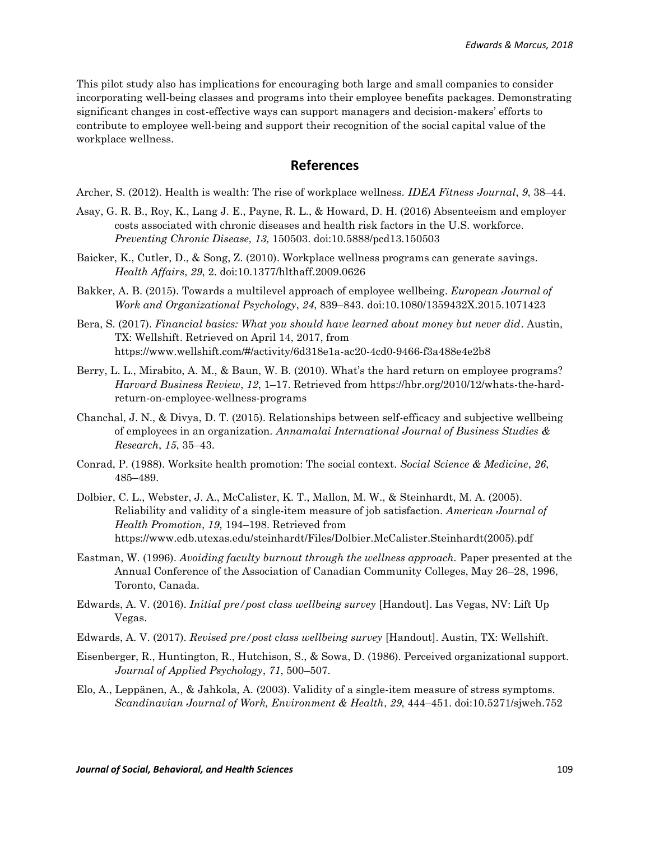This pilot study also has implications for encouraging both large and small companies to consider incorporating well-being classes and programs into their employee benefits packages. Demonstrating significant changes in cost-effective ways can support managers and decision-makers' efforts to contribute to employee well-being and support their recognition of the social capital value of the workplace wellness.

## **References**

Archer, S. (2012). Health is wealth: The rise of workplace wellness. *IDEA Fitness Journal*, *9*, 38–44.

- Asay, G. R. B., Roy, K., Lang J. E., Payne, R. L., & Howard, D. H. (2016) Absenteeism and employer costs associated with chronic diseases and health risk factors in the U.S. workforce. *Preventing Chronic Disease, 13,* 150503. doi:10.5888/pcd13.150503
- Baicker, K., Cutler, D., & Song, Z. (2010). Workplace wellness programs can generate savings. *Health Affairs*, *29*, 2. doi:10.1377/hlthaff.2009.0626
- Bakker, A. B. (2015). Towards a multilevel approach of employee wellbeing. *European Journal of Work and Organizational Psychology*, *24*, 839–843. doi:10.1080/1359432X.2015.1071423
- Bera, S. (2017). *Financial basics: What you should have learned about money but never did*. Austin, TX: Wellshift. Retrieved on April 14, 2017, from https://www.wellshift.com/#/activity/6d318e1a-ac20-4cd0-9466-f3a488e4e2b8
- Berry, L. L., Mirabito, A. M., & Baun, W. B. (2010). What's the hard return on employee programs? *Harvard Business Review*, *12*, 1–17. Retrieved from https://hbr.org/2010/12/whats-the-hardreturn-on-employee-wellness-programs
- Chanchal, J. N., & Divya, D. T. (2015). Relationships between self-efficacy and subjective wellbeing of employees in an organization. *Annamalai International Journal of Business Studies & Research*, *15*, 35–43.
- Conrad, P. (1988). Worksite health promotion: The social context. *Social Science & Medicine*, *26*, 485–489.
- Dolbier, C. L., Webster, J. A., McCalister, K. T., Mallon, M. W., & Steinhardt, M. A. (2005). Reliability and validity of a single-item measure of job satisfaction. *American Journal of Health Promotion*, *19*, 194–198. Retrieved from https://www.edb.utexas.edu/steinhardt/Files/Dolbier.McCalister.Steinhardt(2005).pdf
- Eastman, W. (1996). *Avoiding faculty burnout through the wellness approach*. Paper presented at the Annual Conference of the Association of Canadian Community Colleges, May 26–28, 1996, Toronto, Canada.
- Edwards, A. V. (2016). *Initial pre/post class wellbeing survey* [Handout]. Las Vegas, NV: Lift Up Vegas.
- Edwards, A. V. (2017). *Revised pre/post class wellbeing survey* [Handout]. Austin, TX: Wellshift.
- Eisenberger, R., Huntington, R., Hutchison, S., & Sowa, D. (1986). Perceived organizational support. *Journal of Applied Psychology*, *71*, 500–507.
- Elo, A., Leppänen, A., & Jahkola, A. (2003). Validity of a single-item measure of stress symptoms. *Scandinavian Journal of Work, Environment & Health*, *29*, 444–451. doi:10.5271/sjweh.752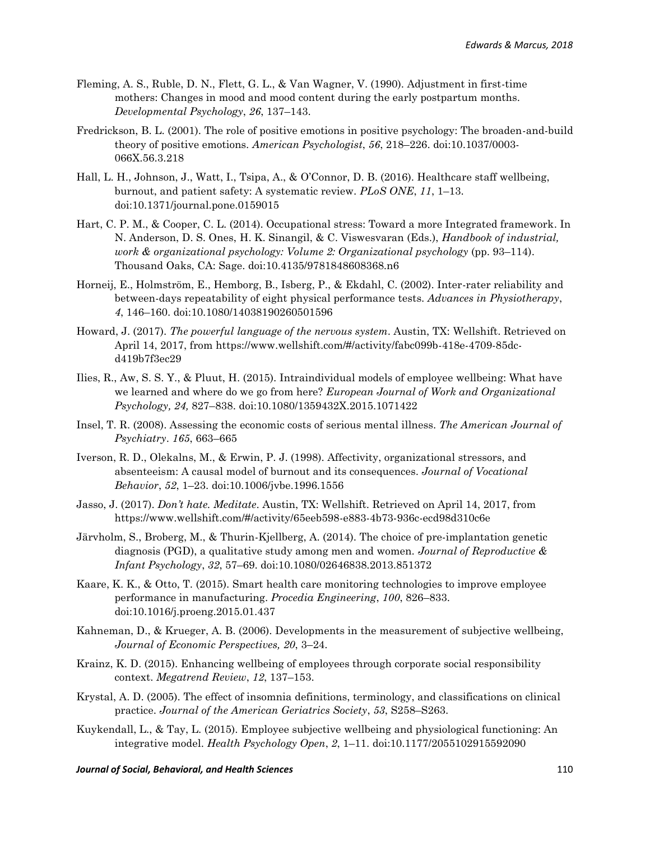- Fleming, A. S., Ruble, D. N., Flett, G. L., & Van Wagner, V. (1990). Adjustment in first-time mothers: Changes in mood and mood content during the early postpartum months. *Developmental Psychology*, *26*, 137–143.
- Fredrickson, B. L. (2001). The role of positive emotions in positive psychology: The broaden-and-build theory of positive emotions. *American Psychologist*, *56*, 218–226. doi:10.1037/0003- 066X.56.3.218
- Hall, L. H., Johnson, J., Watt, I., Tsipa, A., & O'Connor, D. B. (2016). Healthcare staff wellbeing, burnout, and patient safety: A systematic review. *PLoS ONE*, *11*, 1–13. doi:10.1371/journal.pone.0159015
- Hart, C. P. M., & Cooper, C. L. (2014). Occupational stress: Toward a more Integrated framework. In N. Anderson, D. S. Ones, H. K. Sinangil, & C. Viswesvaran (Eds.), *Handbook of industrial, work & organizational psychology: Volume 2: Organizational psychology* (pp. 93–114). Thousand Oaks, CA: Sage. doi:10.4135/9781848608368.n6
- Horneij, E., Holmström, E., Hemborg, B., Isberg, P., & Ekdahl, C. (2002). Inter-rater reliability and between-days repeatability of eight physical performance tests. *Advances in Physiotherapy*, *4*, 146–160. doi:10.1080/14038190260501596
- Howard, J. (2017). *The powerful language of the nervous system*. Austin, TX: Wellshift. Retrieved on April 14, 2017, from https://www.wellshift.com/#/activity/fabc099b-418e-4709-85dcd419b7f3ec29
- Ilies, R., Aw, S. S. Y., & Pluut, H. (2015). Intraindividual models of employee wellbeing: What have we learned and where do we go from here? *European Journal of Work and Organizational Psychology, 24,* 827–838. doi:10.1080/1359432X.2015.1071422
- Insel, T. R. (2008). Assessing the economic costs of serious mental illness. *The American Journal of Psychiatry*. *165*, 663–665
- Iverson, R. D., Olekalns, M., & Erwin, P. J. (1998). Affectivity, organizational stressors, and absenteeism: A causal model of burnout and its consequences. *Journal of Vocational Behavior*, *52*, 1–23. doi:10.1006/jvbe.1996.1556
- Jasso, J. (2017). *Don't hate. Meditate*. Austin, TX: Wellshift. Retrieved on April 14, 2017, from https://www.wellshift.com/#/activity/65eeb598-e883-4b73-936c-ecd98d310c6e
- Järvholm, S., Broberg, M., & Thurin-Kjellberg, A. (2014). The choice of pre-implantation genetic diagnosis (PGD), a qualitative study among men and women. *Journal of Reproductive & Infant Psychology*, *32*, 57–69. doi:10.1080/02646838.2013.851372
- Kaare, K. K., & Otto, T. (2015). Smart health care monitoring technologies to improve employee performance in manufacturing. *Procedia Engineering*, *100*, 826–833. doi:10.1016/j.proeng.2015.01.437
- Kahneman, D., & Krueger, A. B. (2006). Developments in the measurement of subjective wellbeing, *Journal of Economic Perspectives, 20*, 3–24.
- Krainz, K. D. (2015). Enhancing wellbeing of employees through corporate social responsibility context. *Megatrend Review*, *12*, 137–153.
- Krystal, A. D. (2005). The effect of insomnia definitions, terminology, and classifications on clinical practice. *Journal of the American Geriatrics Society*, *53*, S258–S263.
- Kuykendall, L., & Tay, L. (2015). Employee subjective wellbeing and physiological functioning: An integrative model. *Health Psychology Open*, *2*, 1–11. doi:10.1177/2055102915592090

#### *Journal of Social, Behavioral, and Health Sciences* 110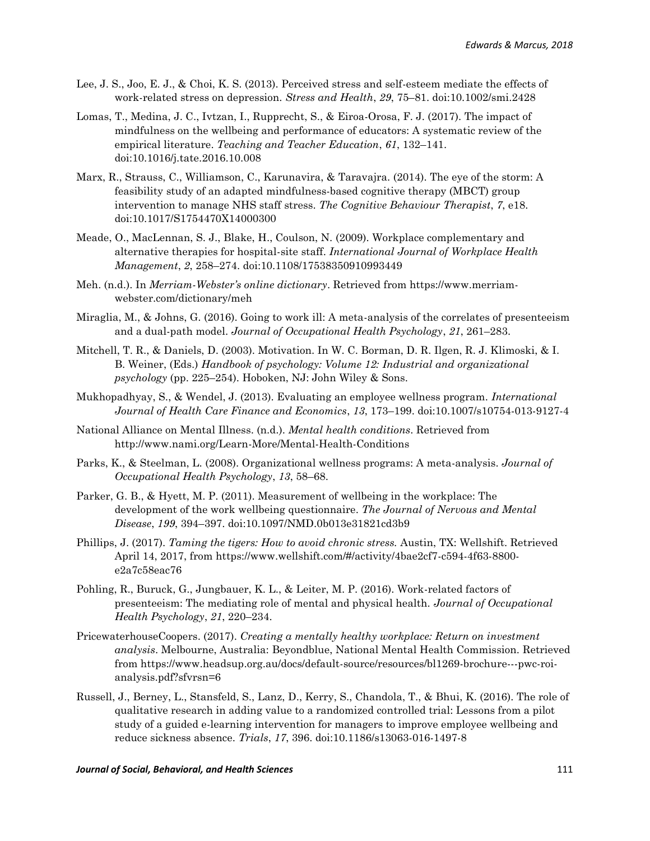- Lee, J. S., Joo, E. J., & Choi, K. S. (2013). Perceived stress and self-esteem mediate the effects of work-related stress on depression. *Stress and Health*, *29*, 75–81. doi:10.1002/smi.2428
- Lomas, T., Medina, J. C., Ivtzan, I., Rupprecht, S., & Eiroa-Orosa, F. J. (2017). The impact of mindfulness on the wellbeing and performance of educators: A systematic review of the empirical literature. *Teaching and Teacher Education*, *61*, 132–141. doi:10.1016/j.tate.2016.10.008
- Marx, R., Strauss, C., Williamson, C., Karunavira, & Taravajra. (2014). The eye of the storm: A feasibility study of an adapted mindfulness-based cognitive therapy (MBCT) group intervention to manage NHS staff stress. *The Cognitive Behaviour Therapist*, *7*, e18. doi:10.1017/S1754470X14000300
- Meade, O., MacLennan, S. J., Blake, H., Coulson, N. (2009). Workplace complementary and alternative therapies for hospital-site staff. *International Journal of Workplace Health Management*, *2*, 258–274. doi:10.1108/17538350910993449
- Meh. (n.d.). In *Merriam-Webster's online dictionary*. Retrieved from https://www.merriamwebster.com/dictionary/meh
- Miraglia, M., & Johns, G. (2016). Going to work ill: A meta-analysis of the correlates of presenteeism and a dual-path model. *Journal of Occupational Health Psychology*, *21*, 261–283.
- Mitchell, T. R., & Daniels, D. (2003). Motivation. In W. C. Borman, D. R. Ilgen, R. J. Klimoski, & I. B. Weiner, (Eds.) *Handbook of psychology: Volume 12: Industrial and organizational psychology* (pp. 225–254). Hoboken, NJ: John Wiley & Sons.
- Mukhopadhyay, S., & Wendel, J. (2013). Evaluating an employee wellness program. *International Journal of Health Care Finance and Economics*, *13*, 173–199. doi:10.1007/s10754-013-9127-4
- National Alliance on Mental Illness. (n.d.). *Mental health conditions*. Retrieved from http://www.nami.org/Learn-More/Mental-Health-Conditions
- Parks, K., & Steelman, L. (2008). Organizational wellness programs: A meta-analysis. *Journal of Occupational Health Psychology*, *13*, 58–68.
- Parker, G. B., & Hyett, M. P. (2011). Measurement of wellbeing in the workplace: The development of the work wellbeing questionnaire. *The Journal of Nervous and Mental Disease*, *199*, 394–397. doi:10.1097/NMD.0b013e31821cd3b9
- Phillips, J. (2017). *Taming the tigers: How to avoid chronic stress.* Austin, TX: Wellshift. Retrieved April 14, 2017, from https://www.wellshift.com/#/activity/4bae2cf7-c594-4f63-8800 e2a7c58eac76
- Pohling, R., Buruck, G., Jungbauer, K. L., & Leiter, M. P. (2016). Work-related factors of presenteeism: The mediating role of mental and physical health. *Journal of Occupational Health Psychology*, *21*, 220–234.
- PricewaterhouseCoopers. (2017). *Creating a mentally healthy workplace: Return on investment analysis*. Melbourne, Australia: Beyondblue, National Mental Health Commission. Retrieved from https://www.headsup.org.au/docs/default-source/resources/bl1269-brochure---pwc-roianalysis.pdf?sfvrsn=6
- Russell, J., Berney, L., Stansfeld, S., Lanz, D., Kerry, S., Chandola, T., & Bhui, K. (2016). The role of qualitative research in adding value to a randomized controlled trial: Lessons from a pilot study of a guided e-learning intervention for managers to improve employee wellbeing and reduce sickness absence. *Trials*, *17*, 396. doi:10.1186/s13063-016-1497-8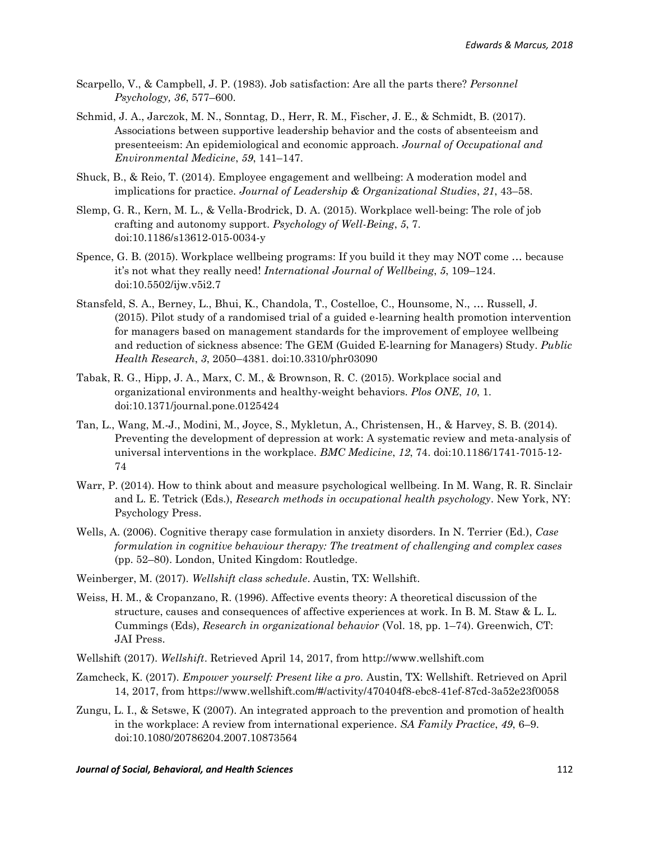- Scarpello, V., & Campbell, J. P. (1983). Job satisfaction: Are all the parts there? *Personnel Psychology, 36*, 577–600.
- Schmid, J. A., Jarczok, M. N., Sonntag, D., Herr, R. M., Fischer, J. E., & Schmidt, B. (2017). Associations between supportive leadership behavior and the costs of absenteeism and presenteeism: An epidemiological and economic approach. *Journal of Occupational and Environmental Medicine*, *59*, 141–147.
- Shuck, B., & Reio, T. (2014). Employee engagement and wellbeing: A moderation model and implications for practice. *Journal of Leadership & Organizational Studies*, *21*, 43–58.
- Slemp, G. R., Kern, M. L., & Vella-Brodrick, D. A. (2015). Workplace well-being: The role of job crafting and autonomy support. *Psychology of Well-Being*, *5*, 7. [doi:10.1186/s13612-015-0034-y](https://doi.org/10.1186/s13612-015-0034-y)
- Spence, G. B. (2015). Workplace wellbeing programs: If you build it they may NOT come … because it's not what they really need! *International Journal of Wellbeing*, *5*, 109–124. doi:10.5502/ijw.v5i2.7
- Stansfeld, S. A., Berney, L., Bhui, K., Chandola, T., Costelloe, C., Hounsome, N., … Russell, J. (2015). Pilot study of a randomised trial of a guided e-learning health promotion intervention for managers based on management standards for the improvement of employee wellbeing and reduction of sickness absence: The GEM (Guided E-learning for Managers) Study. *Public Health Research*, *3*, 2050–4381. doi:10.3310/phr03090
- Tabak, R. G., Hipp, J. A., Marx, C. M., & Brownson, R. C. (2015). Workplace social and organizational environments and healthy-weight behaviors. *Plos ONE*, *10*, 1. doi:10.1371/journal.pone.0125424
- Tan, L., Wang, M.-J., Modini, M., Joyce, S., Mykletun, A., Christensen, H., & Harvey, S. B. (2014). Preventing the development of depression at work: A systematic review and meta-analysis of universal interventions in the workplace. *BMC Medicine*, *12*, 74. doi:10.1186/1741-7015-12- 74
- Warr, P. (2014). How to think about and measure psychological wellbeing. In M. Wang, R. R. Sinclair and L. E. Tetrick (Eds.), *Research methods in occupational health psychology.* New York, NY: Psychology Press.
- Wells, A. (2006). Cognitive therapy case formulation in anxiety disorders. In N. Terrier (Ed.), *Case formulation in cognitive behaviour therapy: The treatment of challenging and complex cases* (pp. 52–80). London, United Kingdom: Routledge.
- Weinberger, M. (2017). *Wellshift class schedule*. Austin, TX: Wellshift.
- Weiss, H. M., & Cropanzano, R. (1996). Affective events theory: A theoretical discussion of the structure, causes and consequences of affective experiences at work. In B. M. Staw & L. L. Cummings (Eds), *Research in organizational behavior* (Vol. 18, pp. 1–74). Greenwich, CT: JAI Press.
- Wellshift (2017). *Wellshift*. Retrieved April 14, 2017, from http://www.wellshift.com
- Zamcheck, K. (2017). *Empower yourself: Present like a pro.* Austin, TX: Wellshift. Retrieved on April 14, 2017, from https://www.wellshift.com/#/activity/470404f8-ebc8-41ef-87cd-3a52e23f0058
- Zungu, L. I., & Setswe, K (2007). An integrated approach to the prevention and promotion of health in the workplace: A review from international experience. *SA Family Practice*, *49*, 6–9. doi:10.1080/20786204.2007.10873564